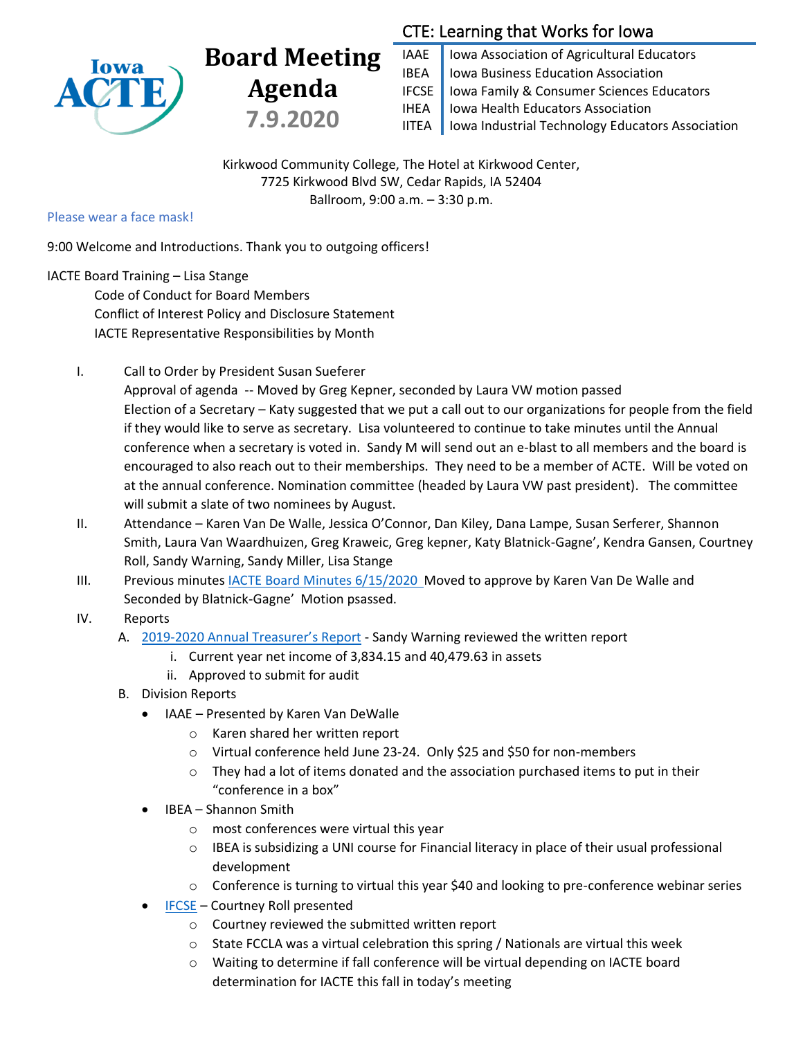

# **Board Meeting Agenda 7.9.2020**

# CTE: Learning that Works for Iowa

IAAE | Iowa Association of Agricultural Educators IBEA | Iowa Business Education Association IFCSE Iowa Family & Consumer Sciences Educators IHEA | Iowa Health Educators Association IITEA | Iowa Industrial Technology Educators Association

Kirkwood Community College, The Hotel at Kirkwood Center, 7725 Kirkwood Blvd SW, Cedar Rapids, IA 52404 Ballroom, 9:00 a.m. – 3:30 p.m.

#### Please wear a face mask!

9:00 Welcome and Introductions. Thank you to outgoing officers!

## IACTE Board Training – Lisa Stange

Code of Conduct for Board Members Conflict of Interest Policy and Disclosure Statement IACTE Representative Responsibilities by Month

I. Call to Order by President Susan Sueferer

Approval of agenda -- Moved by Greg Kepner, seconded by Laura VW motion passed Election of a Secretary – Katy suggested that we put a call out to our organizations for people from the field if they would like to serve as secretary. Lisa volunteered to continue to take minutes until the Annual conference when a secretary is voted in. Sandy M will send out an e-blast to all members and the board is encouraged to also reach out to their memberships. They need to be a member of ACTE. Will be voted on at the annual conference. Nomination committee (headed by Laura VW past president). The committee will submit a slate of two nominees by August.

- II. Attendance Karen Van De Walle, Jessica O'Connor, Dan Kiley, Dana Lampe, Susan Serferer, Shannon Smith, Laura Van Waardhuizen, Greg Kraweic, Greg kepner, Katy Blatnick-Gagne', Kendra Gansen, Courtney Roll, Sandy Warning, Sandy Miller, Lisa Stange
- III. Previous minutes [IACTE Board Minutes](https://drive.google.com/file/d/1XF6vdxO3Ub1cwQgQ1-TULL0iKyjt-7UA/view?usp=sharing) 6/15/2020 Moved to approve by Karen Van De Walle and Seconded by Blatnick-Gagne' Motion psassed.
- IV. Reports
	- A. [2019-2020 Annual](https://drive.google.com/drive/folders/11ezz41U7saGcq2mprMVqRxmd2lXU6BZK) Treasurer's Report Sandy Warning reviewed the written report
		- i. Current year net income of 3,834.15 and 40,479.63 in assets
		- ii. Approved to submit for audit
	- B. Division Reports
		- IAAE Presented by Karen Van DeWalle
			- o Karen shared her written report
			- o Virtual conference held June 23-24. Only \$25 and \$50 for non-members
			- $\circ$  They had a lot of items donated and the association purchased items to put in their "conference in a box"
		- IBEA Shannon Smith
			- o most conferences were virtual this year
			- $\circ$  IBEA is subsidizing a UNI course for Financial literacy in place of their usual professional development
			- $\circ$  Conference is turning to virtual this year \$40 and looking to pre-conference webinar series
		- [IFCSE](https://drive.google.com/drive/u/0/my-drive) Courtney Roll presented
			- o Courtney reviewed the submitted written report
			- $\circ$  State FCCLA was a virtual celebration this spring / Nationals are virtual this week
			- o Waiting to determine if fall conference will be virtual depending on IACTE board determination for IACTE this fall in today's meeting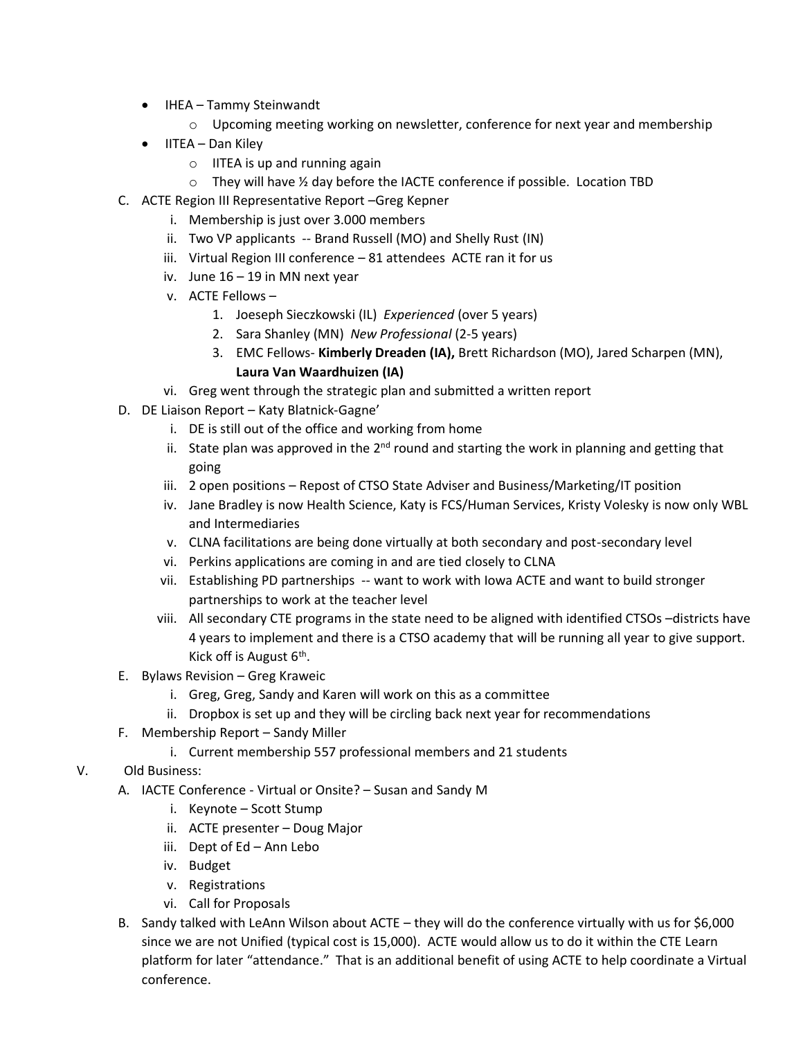- IHEA Tammy Steinwandt
	- $\circ$  Upcoming meeting working on newsletter, conference for next year and membership
- IITEA Dan Kiley
	- $\circ$  IITEA is up and running again
	- $\circ$  They will have  $\frac{1}{2}$  day before the IACTE conference if possible. Location TBD
- C. ACTE Region III Representative Report –Greg Kepner
	- i. Membership is just over 3.000 members
	- ii. Two VP applicants -- Brand Russell (MO) and Shelly Rust (IN)
	- iii. Virtual Region III conference 81 attendees ACTE ran it for us
	- iv. June 16 19 in MN next year
	- v. ACTE Fellows
		- 1. Joeseph Sieczkowski (IL) *Experienced* (over 5 years)
		- 2. Sara Shanley (MN) *New Professional* (2-5 years)
		- 3. EMC Fellows- **Kimberly Dreaden (IA),** Brett Richardson (MO), Jared Scharpen (MN), **Laura Van Waardhuizen (IA)**
	- vi. Greg went through the strategic plan and submitted a written report
- D. DE Liaison Report Katy Blatnick-Gagne'
	- i. DE is still out of the office and working from home
	- ii. State plan was approved in the  $2^{nd}$  round and starting the work in planning and getting that going
	- iii. 2 open positions Repost of CTSO State Adviser and Business/Marketing/IT position
	- iv. Jane Bradley is now Health Science, Katy is FCS/Human Services, Kristy Volesky is now only WBL and Intermediaries
	- v. CLNA facilitations are being done virtually at both secondary and post-secondary level
	- vi. Perkins applications are coming in and are tied closely to CLNA
	- vii. Establishing PD partnerships -- want to work with Iowa ACTE and want to build stronger partnerships to work at the teacher level
	- viii. All secondary CTE programs in the state need to be aligned with identified CTSOs –districts have 4 years to implement and there is a CTSO academy that will be running all year to give support. Kick off is August 6<sup>th</sup>.
- E. Bylaws Revision Greg Kraweic
	- i. Greg, Greg, Sandy and Karen will work on this as a committee
	- ii. Dropbox is set up and they will be circling back next year for recommendations
- F. Membership Report Sandy Miller
	- i. Current membership 557 professional members and 21 students
- V. Old Business:
	- A. IACTE Conference Virtual or Onsite? Susan and Sandy M
		- i. Keynote Scott Stump
		- ii. ACTE presenter Doug Major
		- iii. Dept of Ed Ann Lebo
		- iv. Budget
		- v. Registrations
		- vi. Call for Proposals
	- B. Sandy talked with LeAnn Wilson about ACTE they will do the conference virtually with us for \$6,000 since we are not Unified (typical cost is 15,000). ACTE would allow us to do it within the CTE Learn platform for later "attendance." That is an additional benefit of using ACTE to help coordinate a Virtual conference.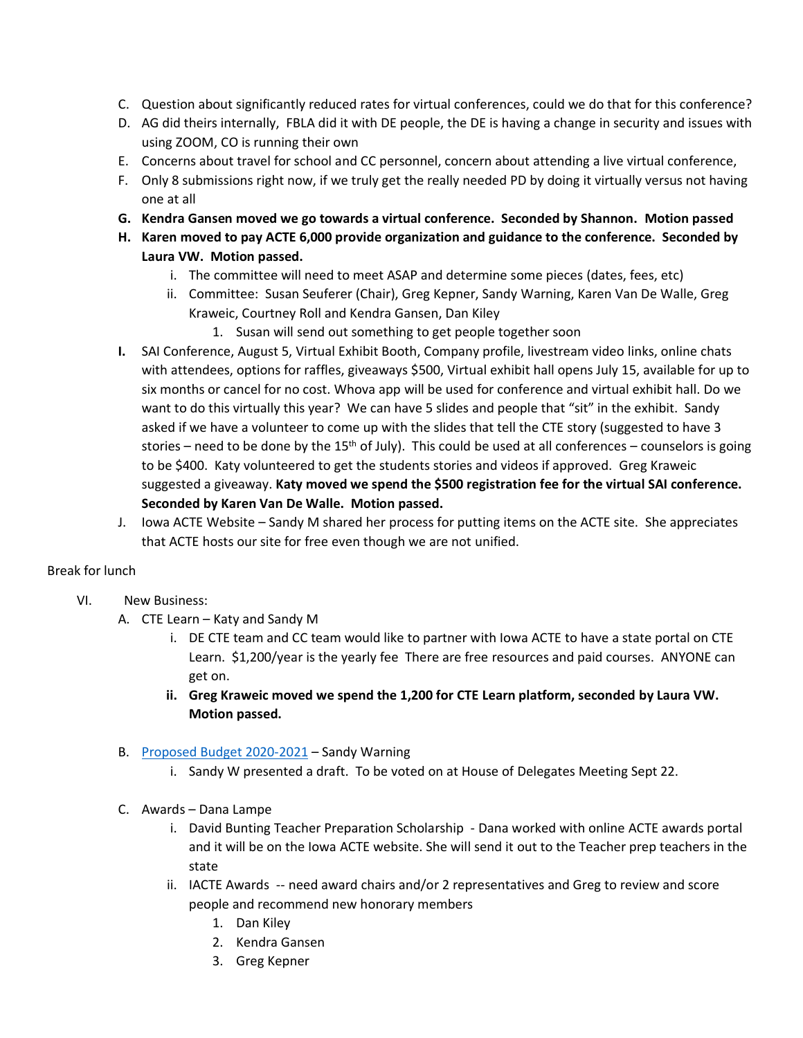- C. Question about significantly reduced rates for virtual conferences, could we do that for this conference?
- D. AG did theirs internally, FBLA did it with DE people, the DE is having a change in security and issues with using ZOOM, CO is running their own
- E. Concerns about travel for school and CC personnel, concern about attending a live virtual conference,
- F. Only 8 submissions right now, if we truly get the really needed PD by doing it virtually versus not having one at all
- **G. Kendra Gansen moved we go towards a virtual conference. Seconded by Shannon. Motion passed**
- **H. Karen moved to pay ACTE 6,000 provide organization and guidance to the conference. Seconded by Laura VW. Motion passed.** 
	- i. The committee will need to meet ASAP and determine some pieces (dates, fees, etc)
	- ii. Committee: Susan Seuferer (Chair), Greg Kepner, Sandy Warning, Karen Van De Walle, Greg Kraweic, Courtney Roll and Kendra Gansen, Dan Kiley
		- 1. Susan will send out something to get people together soon
- **I.** SAI Conference, August 5, Virtual Exhibit Booth, Company profile, livestream video links, online chats with attendees, options for raffles, giveaways \$500, Virtual exhibit hall opens July 15, available for up to six months or cancel for no cost. Whova app will be used for conference and virtual exhibit hall. Do we want to do this virtually this year? We can have 5 slides and people that "sit" in the exhibit. Sandy asked if we have a volunteer to come up with the slides that tell the CTE story (suggested to have 3 stories – need to be done by the 15<sup>th</sup> of July). This could be used at all conferences – counselors is going to be \$400. Katy volunteered to get the students stories and videos if approved. Greg Kraweic suggested a giveaway. **Katy moved we spend the \$500 registration fee for the virtual SAI conference. Seconded by Karen Van De Walle. Motion passed.**
- J. Iowa ACTE Website Sandy M shared her process for putting items on the ACTE site. She appreciates that ACTE hosts our site for free even though we are not unified.

## Break for lunch

- VI. New Business:
	- A. CTE Learn Katy and Sandy M
		- i. DE CTE team and CC team would like to partner with Iowa ACTE to have a state portal on CTE Learn. \$1,200/year is the yearly fee There are free resources and paid courses. ANYONE can get on.
		- **ii. Greg Kraweic moved we spend the 1,200 for CTE Learn platform, seconded by Laura VW. Motion passed.**
	- B. [Proposed Budget 2020-2021](https://drive.google.com/drive/u/0/my-drive) Sandy Warning
		- i. Sandy W presented a draft. To be voted on at House of Delegates Meeting Sept 22.
	- C. Awards Dana Lampe
		- i. David Bunting Teacher Preparation Scholarship Dana worked with online ACTE awards portal and it will be on the Iowa ACTE website. She will send it out to the Teacher prep teachers in the state
		- ii. IACTE Awards -- need award chairs and/or 2 representatives and Greg to review and score people and recommend new honorary members
			- 1. Dan Kiley
			- 2. Kendra Gansen
			- 3. Greg Kepner